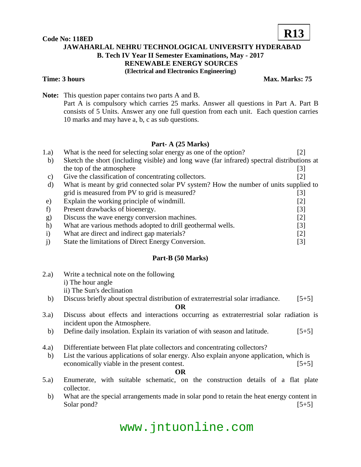# **Code No: 118ED**



# **JAWAHARLAL NEHRU TECHNOLOGICAL UNIVERSITY HYDERABAD B. Tech IV Year II Semester Examinations, May - 2017 RENEWABLE ENERGY SOURCES (Electrical and Electronics Engineering)**

### **Time: 3 hours Max. Marks: 75**

**Note:** This question paper contains two parts A and B. Part A is compulsory which carries 25 marks. Answer all questions in Part A. Part B consists of 5 Units. Answer any one full question from each unit. Each question carries 10 marks and may have a, b, c as sub questions.

# **Part- A (25 Marks)**

| 1.a)         | What is the need for selecting solar energy as one of the option?                           | [2]                          |
|--------------|---------------------------------------------------------------------------------------------|------------------------------|
| b)           | Sketch the short (including visible) and long wave (far infrared) spectral distributions at |                              |
|              | the top of the atmosphere                                                                   | [3]                          |
| C)           | Give the classification of concentrating collectors.                                        | [2]                          |
| d)           | What is meant by grid connected solar PV system? How the number of units supplied to        |                              |
|              | grid is measured from PV to grid is measured?                                               | $\lceil 3 \rceil$            |
| e)           | Explain the working principle of windmill.                                                  | [2]                          |
|              | Present drawbacks of bioenergy.                                                             | [3]                          |
| g)           | Discuss the wave energy conversion machines.                                                | [2]                          |
| h)           | What are various methods adopted to drill geothermal wells.                                 | [3]                          |
| $\mathbf{i}$ | What are direct and indirect gap materials?                                                 | $[2]$                        |
|              | State the limitations of Direct Energy Conversion.                                          | $\left\lceil 3 \right\rceil$ |

# **Part-B (50 Marks)**

| 2.a) | Write a technical note on the following                                                                                  |
|------|--------------------------------------------------------------------------------------------------------------------------|
|      | i) The hour angle                                                                                                        |
|      | ii) The Sun's declination                                                                                                |
| b)   | Discuss briefly about spectral distribution of extraterrestrial solar irradiance.<br>$[5+5]$                             |
|      | OR                                                                                                                       |
| 3.a) | Discuss about effects and interactions occurring as extraterrestrial solar radiation is<br>incident upon the Atmosphere. |

- b) Define daily insolation. Explain its variation of with season and latitude. [5+5]
- 4.a) Differentiate between Flat plate collectors and concentrating collectors?
- b) List the various applications of solar energy. Also explain anyone application, which is economically viable in the present contest. [5+5]

**OR**

- 5.a) Enumerate, with suitable schematic, on the construction details of a flat plate collector.
	- b) What are the special arrangements made in solar pond to retain the heat energy content in Solar pond? [5+5]

# www.jntuonline.com